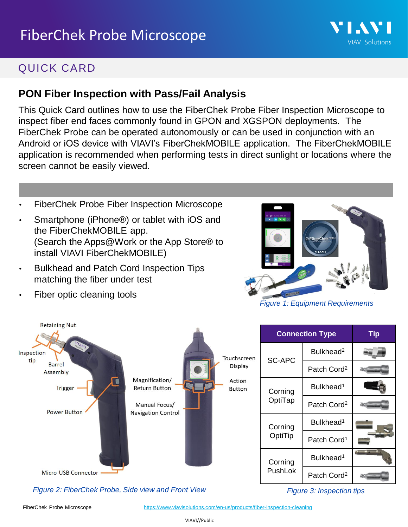# QUICK CARD

### **PON Fiber Inspection with Pass/Fail Analysis**

This Quick Card outlines how to use the FiberChek Probe Fiber Inspection Microscope to inspect fiber end faces commonly found in GPON and XGSPON deployments. The FiberChek Probe can be operated autonomously or can be used in conjunction with an Android or iOS device with VIAVI's FiberChekMOBILE application. The FiberChekMOBILE application is recommended when performing tests in direct sunlight or locations where the screen cannot be easily viewed.

- FiberChek Probe Fiber Inspection Microscope
- Smartphone (iPhone®) or tablet with iOS and the FiberChekMOBILE app. (Search the Apps@Work or the App Store® to install VIAVI FiberChekMOBILE)
- Bulkhead and Patch Cord Inspection Tips matching the fiber under test

Fiber optic cleaning tools



VI AV

**VIAVI Solutions** 

*Figure 1: Equipment Requirements*

| <b>Retaining Nut</b>             |                                                                                                                        |                                                   |                    | <b>Connection Type</b>  | <b>Tip</b> |
|----------------------------------|------------------------------------------------------------------------------------------------------------------------|---------------------------------------------------|--------------------|-------------------------|------------|
| 4v<br>Inspection                 |                                                                                                                        | Touchscreen<br>Display<br>Action<br><b>Button</b> | SC-APC             | Bulkhead <sup>2</sup>   |            |
| tip<br><b>Barrel</b><br>Assembly | Magnification/<br><b>Trigger</b><br><b>Return Button</b><br>Manual Focus/<br><b>Power Button</b><br>Navigation Control |                                                   |                    | Patch Cord <sup>2</sup> |            |
|                                  |                                                                                                                        |                                                   | Corning<br>OptiTap | Bulkhead <sup>1</sup>   |            |
|                                  |                                                                                                                        |                                                   |                    | Patch Cord <sup>2</sup> |            |
|                                  |                                                                                                                        |                                                   | Corning<br>OptiTip | Bulkhead <sup>1</sup>   |            |
|                                  |                                                                                                                        |                                                   |                    | Patch Cord <sup>1</sup> |            |
|                                  |                                                                                                                        |                                                   | Corning            | Bulkhead <sup>1</sup>   |            |
| <b>Micro-USB Connector</b>       |                                                                                                                        |                                                   | PushLok            | Patch Cord <sup>2</sup> |            |

*Figure 2: FiberChek Probe, Side view and Front View Figure 3: Inspection tips*

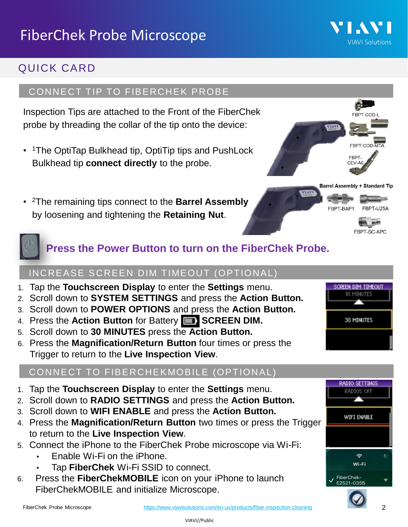# QUICK CARD

#### CONNECT TIP TO FIBERCHEK PROBE

Inspection Tips are attached to the Front of the FiberChek probe by threading the collar of the tip onto the device:

- <sup>1</sup>The OptiTap Bulkhead tip, OptiTip tips and PushLock Bulkhead tip **connect directly** to the probe.
- <sup>2</sup>The remaining tips connect to the **Barrel Assembly**  by loosening and tightening the **Retaining Nut**.





#### INCREASE SCREEN DIM TIMEOUT (OPTIONAL)

- 1. Tap the **Touchscreen Display** to enter the **Settings** menu.
- 2. Scroll down to **SYSTEM SETTINGS** and press the **Action Button.**
- 3. Scroll down to **POWER OPTIONS** and press the **Action Button.**
- 4. Press the **Action Button** for Battery **SCREEN DIM.**
- 5. Scroll down to **30 MINUTES** press the **Action Button.**
- 6. Press the **Magnification/Return Button** four times or press the Trigger to return to the **Live Inspection View**.

#### CONNECT TO FIBERCHEKMOBILE (OPTIONAL)

- 1. Tap the **Touchscreen Display** to enter the **Settings** menu.
- 2. Scroll down to **RADIO SETTINGS** and press the **Action Button.**
- 3. Scroll down to **WIFI ENABLE** and press the **Action Button.**
- 4. Press the **Magnification/Return Button** two times or press the Trigger to return to the **Live Inspection View**.
- 5. Connect the iPhone to the FiberChek Probe microscope via Wi-Fi:
	- Enable Wi-Fi on the iPhone.
	- Tap **FiberChek** Wi-Fi SSID to connect.
- 6. Press the **FiberChekMOBILE** icon on your iPhone to launch FiberChekMOBILE and initialize Microscope.





#### <https://www.viavisolutions.com/en-us/products/fiber-inspection-cleaning> 2



SC-APC

SCREEN DIM TIMEOUT 10 MINUTES

30 MINUTES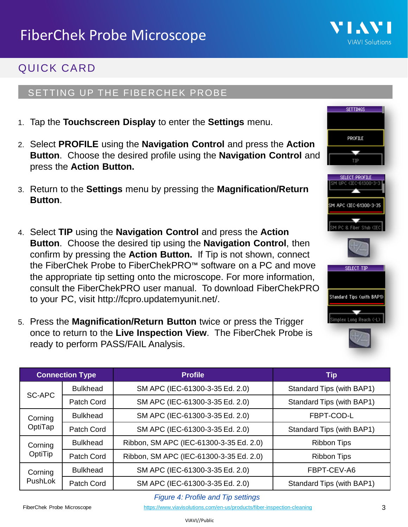

**SETTINGS** 

PROFILE

TIP

APC (IEC-61300-3-3)

M PC & Fiber Stub (IP

SELECT TIP

Standard Tips (with BAP1)

Simplex Long Reach (-L)

# QUICK CARD

### SETTING UP THE FIBERCHEK PROBE

- 1. Tap the **Touchscreen Display** to enter the **Settings** menu.
- 2. Select **PROFILE** using the **Navigation Control** and press the **Action Button**. Choose the desired profile using the **Navigation Control** and press the **Action Button.**
- 3. Return to the **Settings** menu by pressing the **Magnification/Return Button**.
- 4. Select **TIP** using the **Navigation Control** and press the **Action Button**. Choose the desired tip using the **Navigation Control**, then confirm by pressing the **Action Button.** If Tip is not shown, connect the FiberChek Probe to FiberChekPRO™ software on a PC and move the appropriate tip setting onto the microscope. For more information, consult the FiberChekPRO user manual. To download FiberChekPRO to your PC, visit http://fcpro.updatemyunit.net/.
- 5. Press the **Magnification/Return Button** twice or press the Trigger once to return to the **Live Inspection View**. The FiberChek Probe is ready to perform PASS/FAIL Analysis.

| <b>Connection Type</b> |                 | <b>Profile</b>                          | <b>Tip</b>                |  |
|------------------------|-----------------|-----------------------------------------|---------------------------|--|
|                        | <b>Bulkhead</b> | SM APC (IEC-61300-3-35 Ed. 2.0)         | Standard Tips (with BAP1) |  |
| SC-APC                 | Patch Cord      | SM APC (IEC-61300-3-35 Ed. 2.0)         | Standard Tips (with BAP1) |  |
| Corning                | <b>Bulkhead</b> | SM APC (IEC-61300-3-35 Ed. 2.0)         | FBPT-COD-L                |  |
| OptiTap                | Patch Cord      | SM APC (IEC-61300-3-35 Ed. 2.0)         | Standard Tips (with BAP1) |  |
| Corning                | <b>Bulkhead</b> | Ribbon, SM APC (IEC-61300-3-35 Ed. 2.0) | <b>Ribbon Tips</b>        |  |
| OptiTip                | Patch Cord      | Ribbon, SM APC (IEC-61300-3-35 Ed. 2.0) | <b>Ribbon Tips</b>        |  |
| Corning<br>PushLok     | <b>Bulkhead</b> | SM APC (IEC-61300-3-35 Ed. 2.0)         | FBPT-CEV-A6               |  |
|                        | Patch Cord      | SM APC (IEC-61300-3-35 Ed. 2.0)         | Standard Tips (with BAP1) |  |

#### *Figure 4: Profile and Tip settings*

VIAVI//Public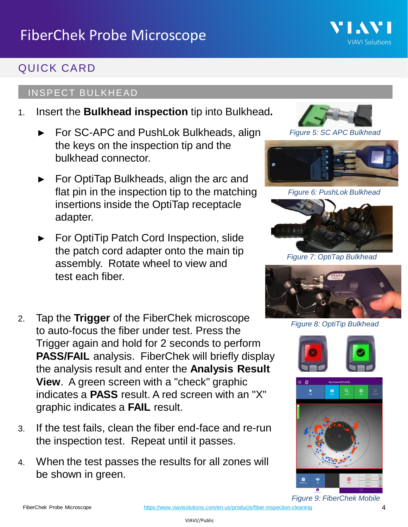# QUICK CARD

### INSPECT BULKHEAD

- 1. Insert the **Bulkhead inspection** tip into Bulkhead**.**
	- For SC-APC and PushLok Bulkheads, align the keys on the inspection tip and the bulkhead connector.
	- For OptiTap Bulkheads, align the arc and flat pin in the inspection tip to the matching insertions inside the OptiTap receptacle adapter.
	- ► For OptiTip Patch Cord Inspection, slide the patch cord adapter onto the main tip assembly. Rotate wheel to view and test each fiber.
- 2. Tap the **Trigger** of the FiberChek microscope to auto-focus the fiber under test. Press the Trigger again and hold for 2 seconds to perform **PASS/FAIL** analysis. FiberChek will briefly display the analysis result and enter the **Analysis Result View**. A green screen with a "check" graphic indicates a **PASS** result. A red screen with an "X" graphic indicates a **FAIL** result.
- 3. If the test fails, clean the fiber end-face and re-run the inspection test. Repeat until it passes.
- 4. When the test passes the results for all zones will be shown in green.



VI.AV

**VIAVI Solutions** 

*Figure 5: SC APC Bulkhead*



*Figure 6: PushLok Bulkhead*



*Figure 7: OptiTap Bulkhead*



*Figure 8: OptiTip Bulkhead*





*Figure 9: FiberChek Mobile*